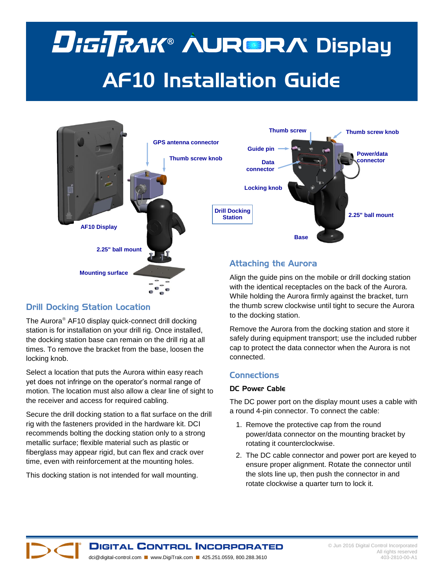# **DisiTRAK® AUR®RA Display** AF**10** Installation Guide



# Drill Docking Station Location

The Aurora<sup>®</sup> AF10 display quick-connect drill docking station is for installation on your drill rig. Once installed, the docking station base can remain on the drill rig at all times. To remove the bracket from the base, loosen the locking knob.

Select a location that puts the Aurora within easy reach yet does not infringe on the operator's normal range of motion. The location must also allow a clear line of sight to the receiver and access for required cabling.

Secure the drill docking station to a flat surface on the drill rig with the fasteners provided in the hardware kit. DCI recommends bolting the docking station only to a strong metallic surface; flexible material such as plastic or fiberglass may appear rigid, but can flex and crack over time, even with reinforcement at the mounting holes.

This docking station is not intended for wall mounting.

Align the guide pins on the mobile or drill docking station with the identical receptacles on the back of the Aurora. While holding the Aurora firmly against the bracket, turn the thumb screw clockwise until tight to secure the Aurora to the docking station.

Remove the Aurora from the docking station and store it safely during equipment transport; use the included rubber cap to protect the data connector when the Aurora is not connected.

# **Connections**

#### DC Power Cable

The DC power port on the display mount uses a cable with a round 4-pin connector. To connect the cable:

- 1. Remove the protective cap from the round power/data connector on the mounting bracket by rotating it counterclockwise.
- 2. The DC cable connector and power port are keyed to ensure proper alignment. Rotate the connector until the slots line up, then push the connector in and rotate clockwise a quarter turn to lock it.